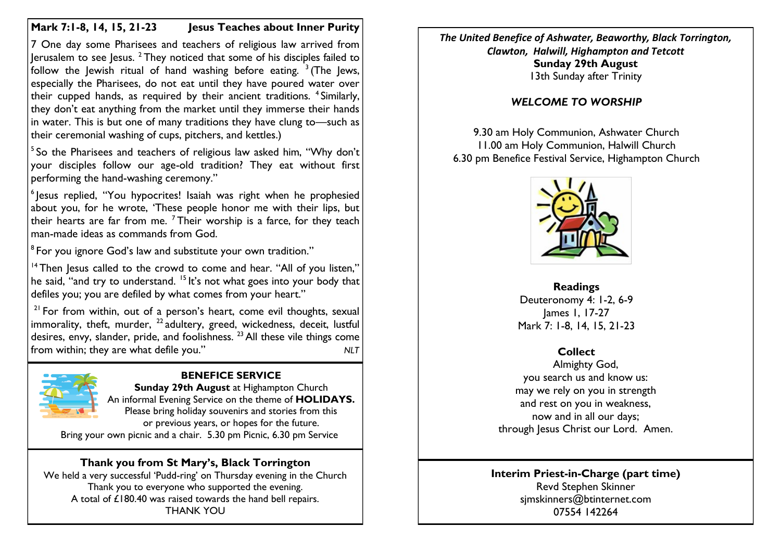## **Mark 7:1-8, 14, 15, 21-23 Jesus Teaches about Inner Purity**

7 One day some Pharisees and teachers of religious law arrived from Jerusalem to see Jesus.  $2$  They noticed that some of his disciples failed to follow the Jewish ritual of hand washing before eating.  $3($ The Jews, especially the Pharisees, do not eat until they have poured water over their cupped hands, as required by their ancient traditions. <sup>4</sup>Similarly, they don't eat anything from the market until they immerse their hands in water. This is but one of many traditions they have clung to—such as their ceremonial washing of cups, pitchers, and kettles.)

<sup>5</sup> So the Pharisees and teachers of religious law asked him, "Why don't your disciples follow our age-old tradition? They eat without first performing the hand-washing ceremony."

<sup>6</sup> Jesus replied, "You hypocrites! Isaiah was right when he prophesied about you, for he wrote, 'These people honor me with their lips, but their hearts are far from me.  $<sup>7</sup>$  Their worship is a farce, for they teach</sup> man-made ideas as commands from God.

 $^{\rm 8}$  For you ignore God's law and substitute your own tradition."

 $14$  Then Jesus called to the crowd to come and hear. "All of you listen," he said, "and try to understand. <sup>15</sup> It's not what goes into your body that defiles you; you are defiled by what comes from your heart."

 $21$  For from within, out of a person's heart, come evil thoughts, sexual immorality, theft, murder,  $^{22}$  adultery, greed, wickedness, deceit, lustful desires, envy, slander, pride, and foolishness.  $^{23}$  All these vile things come from within; they are what defile you." *NLT*



### **BENEFICE SERVICE**

**Sunday 29th August** at Highampton Church An informal Evening Service on the theme of **HOLIDAYS.** Please bring holiday souvenirs and stories from this or previous years, or hopes for the future. Bring your own picnic and a chair. 5.30 pm Picnic, 6.30 pm Service

# **Thank you from St Mary's, Black Torrington**

We held a very successful 'Pudd-ring' on Thursday evening in the Church Thank you to everyone who supported the evening. A total of £180.40 was raised towards the hand bell repairs. THANK YOU

*The United Benefice of Ashwater, Beaworthy, Black Torrington, Clawton, Halwill, Highampton and Tetcott* **Sunday 29th August** 13th Sunday after Trinity

## *WELCOME TO WORSHIP*

9.30 am Holy Communion, Ashwater Church 11.00 am Holy Communion, Halwill Church 6.30 pm Benefice Festival Service, Highampton Church



**Readings** Deuteronomy 4: 1-2, 6-9 James 1, 17-27 Mark 7: 1-8, 14, 15, 21-23

## **Collect**

Almighty God, you search us and know us: may we rely on you in strength and rest on you in weakness, now and in all our days; through Jesus Christ our Lord. Amen.

#### **Interim Priest-in-Charge (part time)** Revd Stephen Skinner [sjmskinners@btinternet.com](mailto:sjmskinners@btinternet.com) 07554 142264